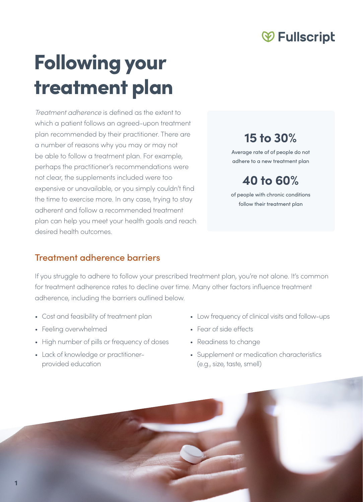## **<b>**  ⊬ Fullscript

# Following your treatment plan

*Treatment adherence* is defined as the extent to which a patient follows an agreed-upon treatment plan recommended by their practitioner. There are a number of reasons why you may or may not be able to follow a treatment plan. For example, perhaps the practitioner's recommendations were not clear, the supplements included were too expensive or unavailable, or you simply couldn't find the time to exercise more. In any case, trying to stay adherent and follow a recommended treatment plan can help you meet your health goals and reach desired health outcomes.

### **15 to 30%**

Average rate of of people do not adhere to a new treatment plan

**40 to 60%**

of people with chronic conditions follow their treatment plan

#### Treatment adherence barriers

If you struggle to adhere to follow your prescribed treatment plan, you're not alone. It's common for treatment adherence rates to decline over time. Many other factors influence treatment adherence, including the barriers outlined below.

- Cost and feasibility of treatment plan
- Feeling overwhelmed
- High number of pills or frequency of doses
- Lack of knowledge or practitionerprovided education
- Low frequency of clinical visits and follow-ups
- Fear of side effects
- Readiness to change
- Supplement or medication characteristics (e.g., size, taste, smell)

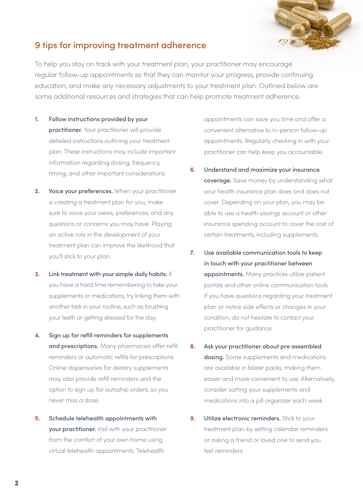

#### 9 tips for improving treatment adherence

To help you stay on track with your treatment plan, your practitioner may encourage regular follow-up appointments so that they can monitor your progress, provide continuing education, and make any necessary adjustments to your treatment plan. Outlined below are some additional resources and strategies that can help promote treatment adherence.

- **1.** Follow instructions provided by your practitioner. Your practitioner will provide detailed instructions outlining your treatment plan. These instructions may include important information regarding dosing, frequency, timing, and other important considerations.
- **2.** Voice your preferences. When your practitioner is creating a treatment plan for you, make sure to voice your views, preferences, and any questions or concerns you may have. Playing an active role in the development of your treatment plan can improve the likelihood that you'll stick to your plan.
- **3.** Link treatment with your simple daily habits. If you have a hard time remembering to take your supplements or medications, try linking them with another task in your routine, such as brushing your teeth or getting dressed for the day.
- **4.** Sign up for refill reminders for supplements and prescriptions. Many pharmacies offer refill reminders or automatic refills for prescriptions. Online dispensaries for dietary supplements may also provide refill reminders and the option to sign up for autoship orders, so you never miss a dose.
- **5.** Schedule telehealth appointments with your practitioner. Visit with your practitioner from the comfort of your own home using virtual telehealth appointments. Telehealth

appointments can save you time and offer a convenient alternative to in-person follow-up appointments. Regularly checking in with your practitioner can help keep you accountable.

- **6.** Understand and maximize your insurance coverage. Save money by understanding what your health insurance plan does and does not cover. Depending on your plan, you may be able to use a health savings account or other insurance spending account to cover the cost of certain treatments, including supplements.
- **7.** Use available communication tools to keep in touch with your practitioner between appointments. Many practices utilize patient portals and other online communication tools. If you have questions regarding your treatment plan or notice side effects or changes in your condition, do not hesitate to contact your practitioner for guidance.
- **8.** Ask your practitioner about pre assembled dosing. Some supplements and medications are available in blister packs, making them easier and more convenient to use. Alternatively, consider sorting your supplements and medications into a pill organizer each week.
- **9.** Utilize electronic reminders. Stick to your treatment plan by setting calendar reminders or asking a friend or loved one to send you text reminders.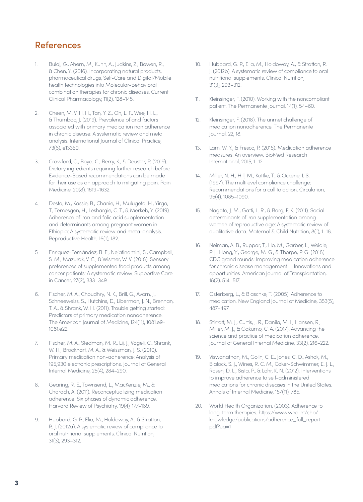#### References

- 1. Bulaj, G., Ahern, M., Kuhn, A., Judkins, Z., Bowen, R., & Chen, Y. (2016). Incorporating natural products, pharmaceutical drugs, Self-Care and Digital/Mobile health technologies into Molecular-Behavioral combination therapies for chronic diseases. Current Clinical Pharmacology, 11(2), 128–145.
- 2. Cheen, M. V. H. H., Tan, Y. Z., Oh, L. F., Wee, H. L., & Thumboo, J. (2019). Prevalence of and factors associated with primary medication non adherence in chronic disease: A systematic review and meta analysis. International Journal of Clinical Practice, 73(6), e13350.
- 3. Crawford, C., Boyd, C., Berry, K., & Deuster, P. (2019). Dietary ingredients requiring further research before Evidence-Based recommendations can be made for their use as an approach to mitigating pain. Pain Medicine, 20(8), 1619–1632.
- 4. Desta, M., Kassie, B., Chanie, H., Mulugeta, H., Yirga, T., Temesgen, H., Leshargie, C. T., & Merkeb, Y. (2019). Adherence of iron and folic acid supplementation and determinants among pregnant women in Ethiopia: A systematic review and meta-analysis. Reproductive Health, 16(1), 182.
- 5. Enriquez-Fernández, B. E., Nejatinamini, S., Campbell, S. M., Mazurak, V. C., & Wismer, W. V. (2018). Sensory preferences of supplemented food products among cancer patients: A systematic review. Supportive Care in Cancer, 27(2), 333–349.
- 6. Fischer, M. A., Choudhry, N. K., Brill, G., Avorn, J., Schneeweiss, S., Hutchins, D., Liberman, J. N., Brennan, T. A., & Shrank, W. H. (2011). Trouble getting started: Predictors of primary medication nonadherence. The American Journal of Medicine, 124(11), 1081.e9- 1081.e22.
- 7. Fischer, M. A., Stedman, M. R., Lii, J., Vogeli, C., Shrank, W. H., Brookhart, M. A., & Weissman, J. S. (2010). Primary medication non-adherence: Analysis of 195,930 electronic prescriptions. Journal of General Internal Medicine, 25(4), 284–290.
- 8. Gearing, R. E., Townsend, L., MacKenzie, M., & Charach, A. (2011). Reconceptualizing medication adherence: Six phases of dynamic adherence. Harvard Review of Psychiatry, 19(4), 177–189.
- 9. Hubbard, G. P., Elia, M., Holdoway, A., & Stratton, R. J. (2012a). A systematic review of compliance to oral nutritional supplements. Clinical Nutrition, 31(3), 293–312.
- 10. Hubbard, G. P., Elia, M., Holdoway, A., & Stratton, R. J. (2012b). A systematic review of compliance to oral nutritional supplements. Clinical Nutrition, 31(3), 293–312.
- 11. Kleinsinger, F. (2010). Working with the noncompliant patient. The Permanente Journal, 14(1), 54–60.
- 12. Kleinsinger, F. (2018). The unmet challenge of medication nonadherence. The Permanente Journal, 22, 18.
- 13. Lam, W. Y., & Fresco, P. (2015). Medication adherence measures: An overview. BioMed Research International, 2015, 1–12.
- 14. Miller, N. H., Hill, M., Kottke, T., & Ockene, I. S. (1997). The multilevel compliance challenge: Recommendations for a call to action. Circulation, 95(4), 1085–1090.
- 15. Nagata, J. M., Gatti, L. R., & Barg, F. K. (2011). Social determinants of iron supplementation among women of reproductive age: A systematic review of qualitative data. Maternal & Child Nutrition, 8(1), 1–18.
- 16. Neiman, A. B., Ruppar, T., Ho, M., Garber, L., Weidle, P. J., Hong, Y., George, M. G., & Thorpe, P. G. (2018). CDC grand rounds: Improving medication adherence for chronic disease management — Innovations and opportunities. American Journal of Transplantation, 18(2), 514–517.
- 17. Osterberg, L., & Blaschke, T. (2005). Adherence to medication. New England Journal of Medicine, 353(5), 487–497.
- 18. Stirratt, M. J., Curtis, J. R., Danila, M. I., Hansen, R., Miller, M. J., & Gakumo, C. A. (2017). Advancing the science and practice of medication adherence. Journal of General Internal Medicine, 33(2), 216–222.
- 19. Viswanathan, M., Golin, C. E., Jones, C. D., Ashok, M., Blalock, S. J., Wines, R. C. M., Coker-Schwimmer, E. J. L., Rosen, D. L., Sista, P., & Lohr, K. N. (2012). Interventions to improve adherence to self-administered medications for chronic diseases in the United States. Annals of Internal Medicine, 157(11), 785.
- 20. World Health Organization. (2003). Adherence to long-term therapies. https://www.who.int/chp/ knowledge/publications/adherence\_full\_report. pdf?ua=1